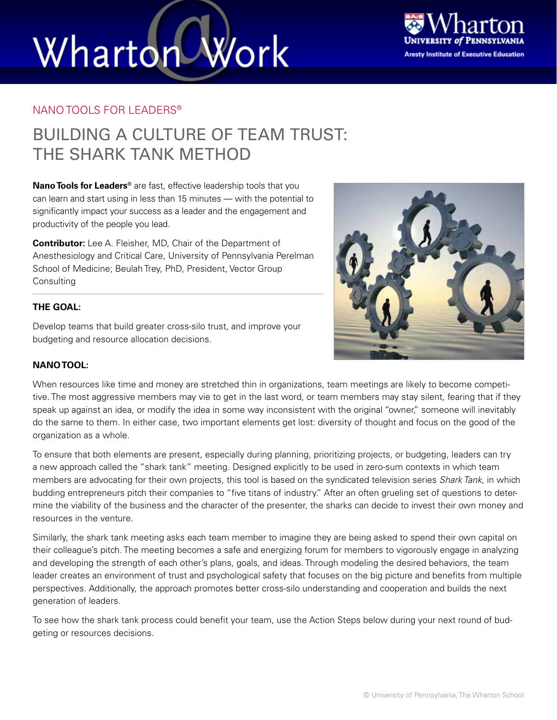# Work Wharton



#### NANO TOOLS FOR LEADERS®

### BUILDING A CULTURE OF TEAM TRUST: THE SHARK TANK METHOD

**Nano Tools for Leaders®** are fast, effective leadership tools that you can learn and start using in less than 15 minutes — with the potential to significantly impact your success as a leader and the engagement and productivity of the people you lead.

**Contributor:** Lee A. Fleisher, MD, Chair of the Department of Anesthesiology and Critical Care, University of Pennsylvania Perelman School of Medicine; Beulah Trey, PhD, President, Vector Group **Consulting** 

#### **THE GOAL:**

Develop teams that build greater cross-silo trust, and improve your budgeting and resource allocation decisions.



#### **NANO TOOL:**

When resources like time and money are stretched thin in organizations, team meetings are likely to become competitive. The most aggressive members may vie to get in the last word, or team members may stay silent, fearing that if they speak up against an idea, or modify the idea in some way inconsistent with the original "owner," someone will inevitably do the same to them. In either case, two important elements get lost: diversity of thought and focus on the good of the organization as a whole.

To ensure that both elements are present, especially during planning, prioritizing projects, or budgeting, leaders can try a new approach called the "shark tank" meeting. Designed explicitly to be used in zero-sum contexts in which team members are advocating for their own projects, this tool is based on the syndicated television series *Shark Tank*, in which budding entrepreneurs pitch their companies to "five titans of industry." After an often grueling set of questions to determine the viability of the business and the character of the presenter, the sharks can decide to invest their own money and resources in the venture.

Similarly, the shark tank meeting asks each team member to imagine they are being asked to spend their own capital on their colleague's pitch. The meeting becomes a safe and energizing forum for members to vigorously engage in analyzing and developing the strength of each other's plans, goals, and ideas. Through modeling the desired behaviors, the team leader creates an environment of trust and psychological safety that focuses on the big picture and benefits from multiple perspectives. Additionally, the approach promotes better cross-silo understanding and cooperation and builds the next generation of leaders.

To see how the shark tank process could benefit your team, use the Action Steps below during your next round of budgeting or resources decisions.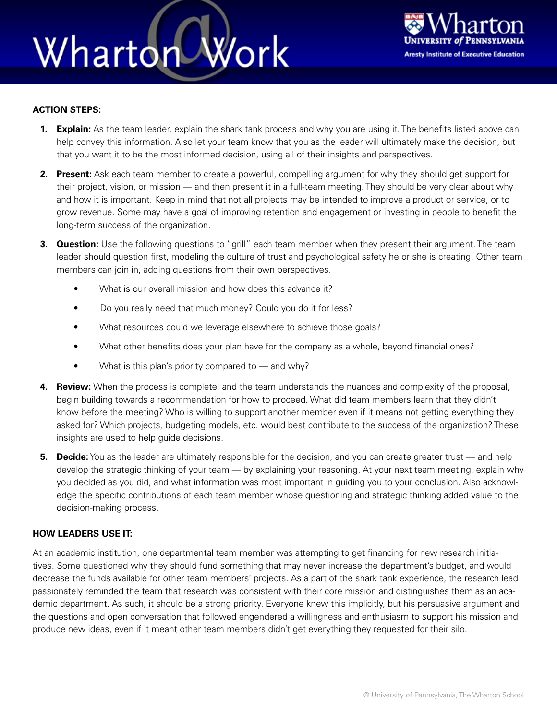### Wharton Work



#### **ACTION STEPS:**

- **1. Explain:** As the team leader, explain the shark tank process and why you are using it. The benefits listed above can help convey this information. Also let your team know that you as the leader will ultimately make the decision, but that you want it to be the most informed decision, using all of their insights and perspectives.
- **2. Present:** Ask each team member to create a powerful, compelling argument for why they should get support for their project, vision, or mission — and then present it in a full-team meeting. They should be very clear about why and how it is important. Keep in mind that not all projects may be intended to improve a product or service, or to grow revenue. Some may have a goal of improving retention and engagement or investing in people to benefit the long-term success of the organization.
- **3. Question:** Use the following questions to "grill" each team member when they present their argument. The team leader should question first, modeling the culture of trust and psychological safety he or she is creating. Other team members can join in, adding questions from their own perspectives.
	- What is our overall mission and how does this advance it?
	- Do you really need that much money? Could you do it for less?
	- What resources could we leverage elsewhere to achieve those goals?
	- What other benefits does your plan have for the company as a whole, beyond financial ones?
	- What is this plan's priority compared to and why?
- **4. Review:** When the process is complete, and the team understands the nuances and complexity of the proposal, begin building towards a recommendation for how to proceed. What did team members learn that they didn't know before the meeting? Who is willing to support another member even if it means not getting everything they asked for? Which projects, budgeting models, etc. would best contribute to the success of the organization? These insights are used to help guide decisions.
- **5. Decide:** You as the leader are ultimately responsible for the decision, and you can create greater trust and help develop the strategic thinking of your team — by explaining your reasoning. At your next team meeting, explain why you decided as you did, and what information was most important in guiding you to your conclusion. Also acknowledge the specific contributions of each team member whose questioning and strategic thinking added value to the decision-making process.

#### **HOW LEADERS USE IT:**

At an academic institution, one departmental team member was attempting to get financing for new research initiatives. Some questioned why they should fund something that may never increase the department's budget, and would decrease the funds available for other team members' projects. As a part of the shark tank experience, the research lead passionately reminded the team that research was consistent with their core mission and distinguishes them as an academic department. As such, it should be a strong priority. Everyone knew this implicitly, but his persuasive argument and the questions and open conversation that followed engendered a willingness and enthusiasm to support his mission and produce new ideas, even if it meant other team members didn't get everything they requested for their silo.